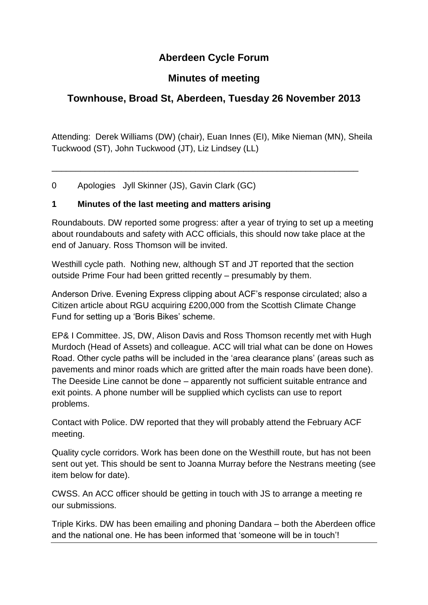# **Aberdeen Cycle Forum**

## **Minutes of meeting**

# **Townhouse, Broad St, Aberdeen, Tuesday 26 November 2013**

Attending: Derek Williams (DW) (chair), Euan Innes (EI), Mike Nieman (MN), Sheila Tuckwood (ST), John Tuckwood (JT), Liz Lindsey (LL)

\_\_\_\_\_\_\_\_\_\_\_\_\_\_\_\_\_\_\_\_\_\_\_\_\_\_\_\_\_\_\_\_\_\_\_\_\_\_\_\_\_\_\_\_\_\_\_\_\_\_\_\_\_\_\_\_\_\_\_\_\_\_\_\_

0 Apologies Jyll Skinner (JS), Gavin Clark (GC)

#### **1 Minutes of the last meeting and matters arising**

Roundabouts. DW reported some progress: after a year of trying to set up a meeting about roundabouts and safety with ACC officials, this should now take place at the end of January. Ross Thomson will be invited.

Westhill cycle path. Nothing new, although ST and JT reported that the section outside Prime Four had been gritted recently – presumably by them.

Anderson Drive. Evening Express clipping about ACF's response circulated; also a Citizen article about RGU acquiring £200,000 from the Scottish Climate Change Fund for setting up a 'Boris Bikes' scheme.

EP& I Committee. JS, DW, Alison Davis and Ross Thomson recently met with Hugh Murdoch (Head of Assets) and colleague. ACC will trial what can be done on Howes Road. Other cycle paths will be included in the 'area clearance plans' (areas such as pavements and minor roads which are gritted after the main roads have been done). The Deeside Line cannot be done – apparently not sufficient suitable entrance and exit points. A phone number will be supplied which cyclists can use to report problems.

Contact with Police. DW reported that they will probably attend the February ACF meeting.

Quality cycle corridors. Work has been done on the Westhill route, but has not been sent out yet. This should be sent to Joanna Murray before the Nestrans meeting (see item below for date).

CWSS. An ACC officer should be getting in touch with JS to arrange a meeting re our submissions.

Triple Kirks. DW has been emailing and phoning Dandara – both the Aberdeen office and the national one. He has been informed that 'someone will be in touch'!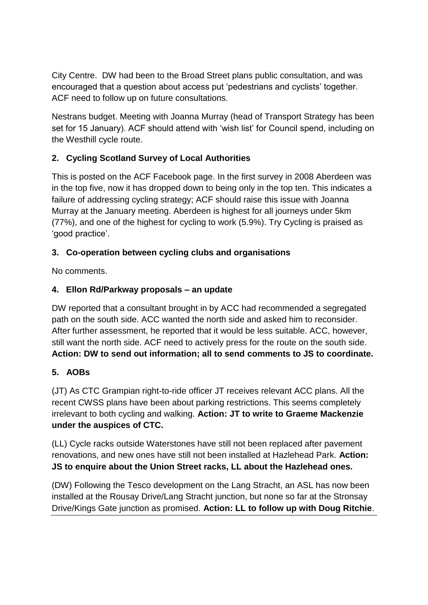City Centre.DW had been to the Broad Street plans public consultation, and was encouraged that a question about access put 'pedestrians and cyclists' together. ACF need to follow up on future consultations.

Nestrans budget. Meeting with Joanna Murray (head of Transport Strategy has been set for 15 January). ACF should attend with 'wish list' for Council spend, including on the Westhill cycle route.

## **2. Cycling Scotland Survey of Local Authorities**

This is posted on the ACF Facebook page. In the first survey in 2008 Aberdeen was in the top five, now it has dropped down to being only in the top ten. This indicates a failure of addressing cycling strategy; ACF should raise this issue with Joanna Murray at the January meeting. Aberdeen is highest for all journeys under 5km (77%), and one of the highest for cycling to work (5.9%). Try Cycling is praised as 'good practice'.

#### **3. Co-operation between cycling clubs and organisations**

No comments.

## **4. Ellon Rd/Parkway proposals – an update**

DW reported that a consultant brought in by ACC had recommended a segregated path on the south side. ACC wanted the north side and asked him to reconsider. After further assessment, he reported that it would be less suitable. ACC, however, still want the north side. ACF need to actively press for the route on the south side. **Action: DW to send out information; all to send comments to JS to coordinate.**

## **5. AOBs**

(JT) As CTC Grampian right-to-ride officer JT receives relevant ACC plans. All the recent CWSS plans have been about parking restrictions. This seems completely irrelevant to both cycling and walking. **Action: JT to write to Graeme Mackenzie under the auspices of CTC.**

(LL) Cycle racks outside Waterstones have still not been replaced after pavement renovations, and new ones have still not been installed at Hazlehead Park. **Action: JS to enquire about the Union Street racks, LL about the Hazlehead ones.**

(DW) Following the Tesco development on the Lang Stracht, an ASL has now been installed at the Rousay Drive/Lang Stracht junction, but none so far at the Stronsay Drive/Kings Gate junction as promised. **Action: LL to follow up with Doug Ritchie**.